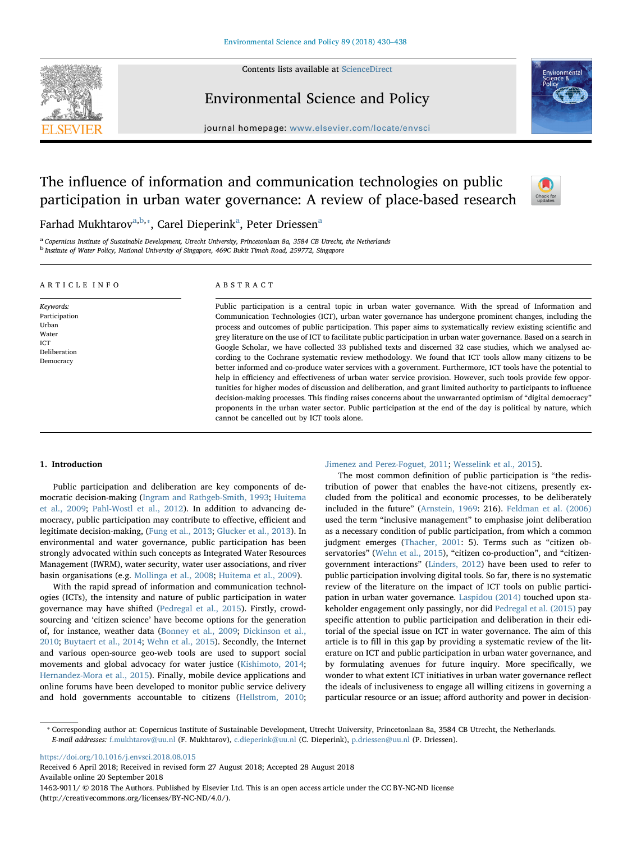Contents lists available at [ScienceDirect](http://www.sciencedirect.com/science/journal/14629011)



# Environmental Science and Policy



journal homepage: [www.elsevier.com/locate/envsci](https://www.elsevier.com/locate/envsci)

# The influence of information and communication technologies on public participation in urban water governance: A review of place-based research



F[a](#page-0-0)rhad Mukhtarov<sup>a[,b,](#page-0-1)</sup>\*, Carel Dieperink<sup>a</sup>, Peter Driessen<sup>a</sup>

<span id="page-0-1"></span><span id="page-0-0"></span><sup>a</sup> Copernicus Institute of Sustainable Development, Utrecht University, Princetonlaan 8a, 3584 CB Utrecht, the Netherlands <sup>b</sup> Institute of Water Policy, National University of Singapore, 469C Bukit Timah Road, 259772, Singapore

#### ARTICLE INFO

Keywords: Participation Urban Water ICT Deliberation Democracy

#### ABSTRACT

Public participation is a central topic in urban water governance. With the spread of Information and Communication Technologies (ICT), urban water governance has undergone prominent changes, including the process and outcomes of public participation. This paper aims to systematically review existing scientific and grey literature on the use of ICT to facilitate public participation in urban water governance. Based on a search in Google Scholar, we have collected 33 published texts and discerned 32 case studies, which we analysed according to the Cochrane systematic review methodology. We found that ICT tools allow many citizens to be better informed and co-produce water services with a government. Furthermore, ICT tools have the potential to help in efficiency and effectiveness of urban water service provision. However, such tools provide few opportunities for higher modes of discussion and deliberation, and grant limited authority to participants to influence decision-making processes. This finding raises concerns about the unwarranted optimism of "digital democracy" proponents in the urban water sector. Public participation at the end of the day is political by nature, which cannot be cancelled out by ICT tools alone.

#### 1. Introduction

Public participation and deliberation are key components of democratic decision-making ([Ingram and Rathgeb-Smith, 1993](#page-8-0); [Huitema](#page-8-1) [et al., 2009](#page-8-1); [Pahl-Wostl et al., 2012\)](#page-8-2). In addition to advancing democracy, public participation may contribute to effective, efficient and legitimate decision-making, [\(Fung et al., 2013](#page-8-3); [Glucker et al., 2013](#page-8-4)). In environmental and water governance, public participation has been strongly advocated within such concepts as Integrated Water Resources Management (IWRM), water security, water user associations, and river basin organisations (e.g. [Mollinga et al., 2008](#page-8-5); [Huitema et al., 2009\)](#page-8-1).

With the rapid spread of information and communication technologies (ICTs), the intensity and nature of public participation in water governance may have shifted ([Pedregal et al., 2015](#page-8-6)). Firstly, crowdsourcing and 'citizen science' have become options for the generation of, for instance, weather data ([Bonney et al., 2009;](#page-7-0) [Dickinson et al.,](#page-8-7) [2010;](#page-8-7) [Buytaert et al., 2014;](#page-7-1) [Wehn et al., 2015](#page-8-8)). Secondly, the Internet and various open-source geo-web tools are used to support social movements and global advocacy for water justice ([Kishimoto, 2014](#page-8-9); [Hernandez-Mora et al., 2015](#page-8-10)). Finally, mobile device applications and online forums have been developed to monitor public service delivery and hold governments accountable to citizens ([Hellstrom, 2010](#page-8-11);

#### [Jimenez and Perez-Foguet, 2011;](#page-8-12) [Wesselink et al., 2015](#page-8-13)).

The most common definition of public participation is "the redistribution of power that enables the have-not citizens, presently excluded from the political and economic processes, to be deliberately included in the future" ([Arnstein, 1969](#page-7-2): 216). [Feldman et al. \(2006\)](#page-8-14) used the term "inclusive management" to emphasise joint deliberation as a necessary condition of public participation, from which a common judgment emerges [\(Thacher, 2001:](#page-8-15) 5). Terms such as "citizen ob-servatories" ([Wehn et al., 2015](#page-8-8)), "citizen co-production", and "citizengovernment interactions" ([Linders, 2012](#page-8-16)) have been used to refer to public participation involving digital tools. So far, there is no systematic review of the literature on the impact of ICT tools on public participation in urban water governance. [Laspidou \(2014\)](#page-8-17) touched upon stakeholder engagement only passingly, nor did [Pedregal et al. \(2015\)](#page-8-6) pay specific attention to public participation and deliberation in their editorial of the special issue on ICT in water governance. The aim of this article is to fill in this gap by providing a systematic review of the literature on ICT and public participation in urban water governance, and by formulating avenues for future inquiry. More specifically, we wonder to what extent ICT initiatives in urban water governance reflect the ideals of inclusiveness to engage all willing citizens in governing a particular resource or an issue; afford authority and power in decision-

<span id="page-0-2"></span>⁎ Corresponding author at: Copernicus Institute of Sustainable Development, Utrecht University, Princetonlaan 8a, 3584 CB Utrecht, the Netherlands. E-mail addresses: [f.mukhtarov@uu.nl](mailto:f.mukhtarov@uu.nl) (F. Mukhtarov), [c.dieperink@uu.nl](mailto:c.dieperink@uu.nl) (C. Dieperink), [p.driessen@uu.nl](mailto:p.driessen@uu.nl) (P. Driessen).

<https://doi.org/10.1016/j.envsci.2018.08.015>

Received 6 April 2018; Received in revised form 27 August 2018; Accepted 28 August 2018 Available online 20 September 2018

1462-9011/ © 2018 The Authors. Published by Elsevier Ltd. This is an open access article under the CC BY-NC-ND license (http://creativecommons.org/licenses/BY-NC-ND/4.0/).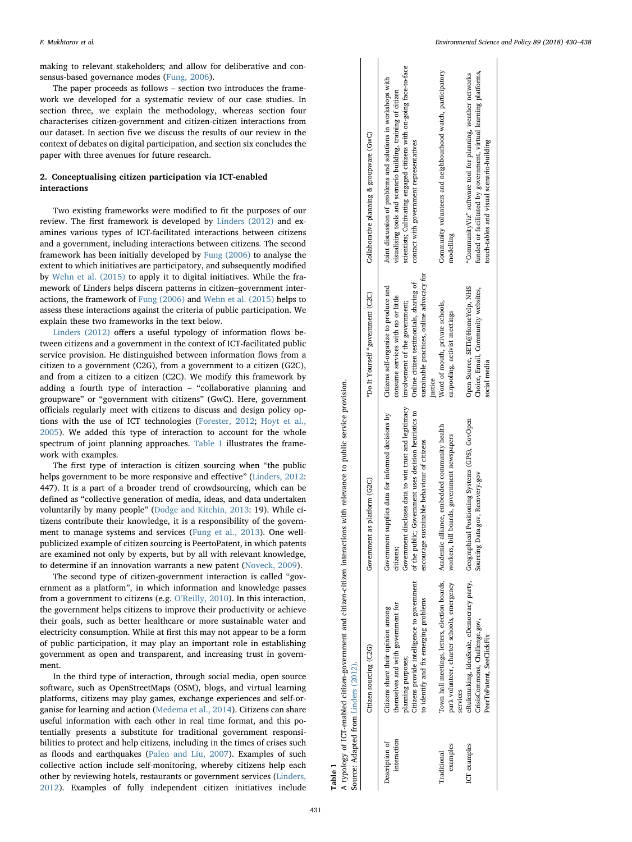making to relevant stakeholders; and allow for deliberative and consensus-based governance modes ([Fung, 2006](#page-8-18)).

The paper proceeds as follows – section two introduces the framework we developed for a systematic review of our case studies. In section three, we explain the methodology, whereas section four characterises citizen-government and citizen-citizen interactions from our dataset. In section five we discuss the results of our review in the context of debates on digital participation, and section six concludes the paper with three avenues for future research.

# 2. Conceptualising citizen participation via ICT-enabled interactions

Two existing frameworks were modified to fit the purposes of our review. The first framework is developed by [Linders \(2012\)](#page-8-16) and examines various types of ICT-facilitated interactions between citizens and a government, including interactions between citizens. The second framework has been initially developed by [Fung \(2006\)](#page-8-18) to analyse the extent to which initiatives are participatory, and subsequently modified by [Wehn et al. \(2015\)](#page-8-8) to apply it to digital initiatives. While the framework of Linders helps discern patterns in citizen–government interactions, the framework of [Fung \(2006\)](#page-8-18) and [Wehn et al. \(2015\)](#page-8-8) helps to assess these interactions against the criteria of public participation. We explain these two frameworks in the text below.

[Linders \(2012\)](#page-8-16) offers a useful typology of information flows between citizens and a government in the context of ICT-facilitated public service provision. He distinguished between information flows from a citizen to a government (C2G), from a government to a citizen (G2C), and from a citizen to a citizen (C2C). We modify this framework by adding a fourth type of interaction – "collaborative planning and groupware" or "government with citizens" (GwC). Here, government officials regularly meet with citizens to discuss and design policy options with the use of ICT technologies [\(Forester, 2012](#page-8-19); [Hoyt et al.,](#page-8-20) [2005\)](#page-8-20). We added this type of interaction to account for the whole spectrum of joint planning approaches. [Table 1](#page-1-0) illustrates the framework with examples.

The first type of interaction is citizen sourcing when "the public helps government to be more responsive and effective" ([Linders, 2012](#page-8-16): 447). It is a part of a broader trend of crowdsourcing, which can be defined as "collective generation of media, ideas, and data undertaken voluntarily by many people" (Dodge [and Kitchin, 2013:](#page-8-21) 19). While citizens contribute their knowledge, it is a responsibility of the government to manage systems and services ([Fung et al., 2013\)](#page-8-3). One wellpublicized example of citizen sourcing is PeertoPatent, in which patents are examined not only by experts, but by all with relevant knowledge, to determine if an innovation warrants a new patent [\(Noveck, 2009](#page-8-22)).

The second type of citizen-government interaction is called "government as a platform", in which information and knowledge passes from a government to citizens (e.g. O'[Reilly, 2010](#page-8-23)). In this interaction, the government helps citizens to improve their productivity or achieve their goals, such as better healthcare or more sustainable water and electricity consumption. While at first this may not appear to be a form of public participation, it may play an important role in establishing government as open and transparent, and increasing trust in government.

In the third type of interaction, through social media, open source software, such as OpenStreetMaps (OSM), blogs, and virtual learning platforms, citizens may play games, exchange experiences and self-organise for learning and action ([Medema et al., 2014](#page-8-24)). Citizens can share useful information with each other in real time format, and this potentially presents a substitute for traditional government responsibilities to protect and help citizens, including in the times of crises such as floods and earthquakes [\(Palen and Liu, 2007\)](#page-8-25). Examples of such collective action include self-monitoring, whereby citizens help each other by reviewing hotels, restaurants or government services ([Linders,](#page-8-16) [2012\)](#page-8-16). Examples of fully independent citizen initiatives include  $\mathbf{I}$ 

<span id="page-1-0"></span>

|                    |                                                                                                                           | Collaborative planning & groupware (GwC)<br>"Do It Yourself "government (C2C) | scientists; Cultivating engaged citizens with on-going face-to-face<br>Joint discussion of problems and solutions in workshops with<br>visualising tools and scenario building, training of citizen<br>contact with government representatives<br>sustainable practices, online advocacy for<br>Online citizen testimonials, sharing of<br>Citizens self-organize to produce and<br>consume services with no or little<br>involvement of the government; | Community volunteers and neighbourhood watch, participatory<br>modelling<br>Word of mouth, private schools,<br>carpooling, activist meetings | funded or facilitated by government, virtual learning platforms,<br>"CommunityViz" software tool for planning, weather networks<br>touch-tables and visual scenario-building<br>Open Source, SET1@HomeYelp, NHS<br>Choice, Email, Community websites, |
|--------------------|---------------------------------------------------------------------------------------------------------------------------|-------------------------------------------------------------------------------|----------------------------------------------------------------------------------------------------------------------------------------------------------------------------------------------------------------------------------------------------------------------------------------------------------------------------------------------------------------------------------------------------------------------------------------------------------|----------------------------------------------------------------------------------------------------------------------------------------------|-------------------------------------------------------------------------------------------------------------------------------------------------------------------------------------------------------------------------------------------------------|
|                    |                                                                                                                           |                                                                               | justice                                                                                                                                                                                                                                                                                                                                                                                                                                                  |                                                                                                                                              | social media                                                                                                                                                                                                                                          |
|                    | A typology of ICT-enabled citizen-government and citizen-citizen interactions with relevance to public service provision. | Government as platform (G2C)                                                  | Government discloses data to win trust and legitimacy<br>of the public; Government uses decision heuristics to<br>Government supplies data for informed decisions by<br>sustainable behaviour of citizens<br>encourage<br>citizens;                                                                                                                                                                                                                      | alliance, embedded community health<br>bill boards, government newspapers<br>workers, l                                                      | eRulemaking, IdeaScale, eDemocracy party, Geographical Positioning Systems (GPS), GovOpen<br>Sourcing Data.gov, Recovery.gov                                                                                                                          |
|                    | Source: Adapted from Linders (2012).                                                                                      | Citizen sourcing (C2G)                                                        | Citizens provide intelligence to government<br>to identify and fix emerging problems<br>themselves and with government for<br>Citizens share their opinion among<br>planning purposes;                                                                                                                                                                                                                                                                   | Town hall meetings, letters, election boards, Academic<br>park volunteer, charter schools, emergency<br>services                             | CrisisCommons, Challenge.gov,<br>PeerToPatent, SeeClickFix                                                                                                                                                                                            |
| Table <sup>7</sup> |                                                                                                                           |                                                                               | interaction<br>Description of                                                                                                                                                                                                                                                                                                                                                                                                                            | examples<br>Traditional                                                                                                                      | ICT examples                                                                                                                                                                                                                                          |

 $\mathbf{I}$  $\overline{\phantom{a}}$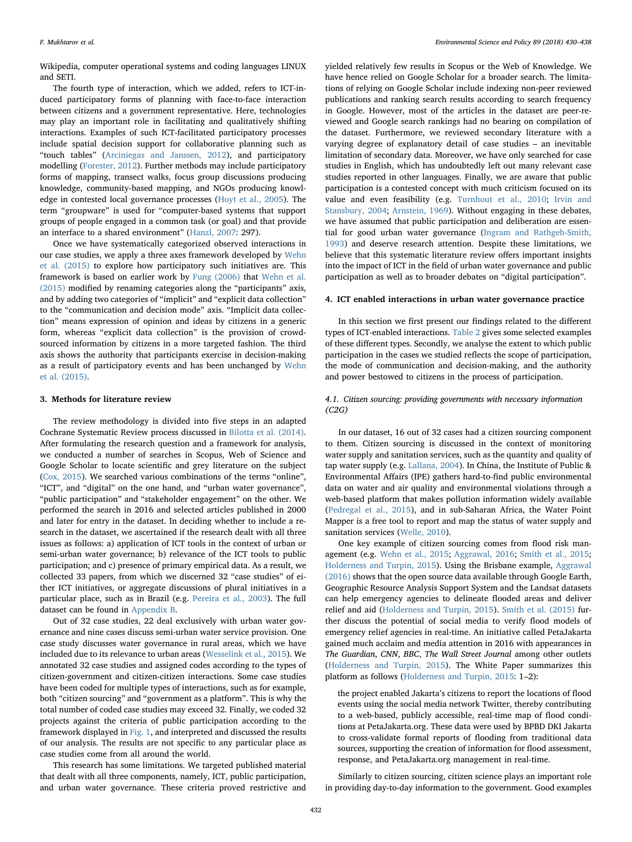Wikipedia, computer operational systems and coding languages LINUX and SETI.

The fourth type of interaction, which we added, refers to ICT-induced participatory forms of planning with face-to-face interaction between citizens and a government representative. Here, technologies may play an important role in facilitating and qualitatively shifting interactions. Examples of such ICT-facilitated participatory processes include spatial decision support for collaborative planning such as "touch tables" [\(Arciniegas and Janssen, 2012](#page-7-3)), and participatory modelling [\(Forester, 2012](#page-8-19)). Further methods may include participatory forms of mapping, transect walks, focus group discussions producing knowledge, community-based mapping, and NGOs producing knowledge in contested local governance processes ([Hoyt et al., 2005](#page-8-20)). The term "groupware" is used for "computer-based systems that support groups of people engaged in a common task (or goal) and that provide an interface to a shared environment" [\(Hanzl, 2007](#page-8-26): 297).

Once we have systematically categorized observed interactions in our case studies, we apply a three axes framework developed by [Wehn](#page-8-8) [et al. \(2015\)](#page-8-8) to explore how participatory such initiatives are. This framework is based on earlier work by [Fung \(2006\)](#page-8-18) that [Wehn et al.](#page-8-8) [\(2015\)](#page-8-8) modified by renaming categories along the "participants" axis, and by adding two categories of "implicit" and "explicit data collection" to the "communication and decision mode" axis. "Implicit data collection" means expression of opinion and ideas by citizens in a generic form, whereas "explicit data collection" is the provision of crowdsourced information by citizens in a more targeted fashion. The third axis shows the authority that participants exercise in decision-making as a result of participatory events and has been unchanged by [Wehn](#page-8-8) [et al. \(2015\)](#page-8-8).

## 3. Methods for literature review

The review methodology is divided into five steps in an adapted Cochrane Systematic Review process discussed in [Bilotta et al. \(2014\)](#page-7-4). After formulating the research question and a framework for analysis, we conducted a number of searches in Scopus, Web of Science and Google Scholar to locate scientific and grey literature on the subject ([Cox, 2015\)](#page-7-5). We searched various combinations of the terms "online", "ICT", and "digital" on the one hand, and "urban water governance", "public participation" and "stakeholder engagement" on the other. We performed the search in 2016 and selected articles published in 2000 and later for entry in the dataset. In deciding whether to include a research in the dataset, we ascertained if the research dealt with all three issues as follows: a) application of ICT tools in the context of urban or semi-urban water governance; b) relevance of the ICT tools to public participation; and c) presence of primary empirical data. As a result, we collected 33 papers, from which we discerned 32 "case studies" of either ICT initiatives, or aggregate discussions of plural initiatives in a particular place, such as in Brazil (e.g. [Pereira et al., 2003\)](#page-8-27). The full dataset can be found in [Appendix B](#page-6-0).

Out of 32 case studies, 22 deal exclusively with urban water governance and nine cases discuss semi-urban water service provision. One case study discusses water governance in rural areas, which we have included due to its relevance to urban areas [\(Wesselink et al., 2015](#page-8-13)). We annotated 32 case studies and assigned codes according to the types of citizen-government and citizen-citizen interactions. Some case studies have been coded for multiple types of interactions, such as for example, both "citizen sourcing" and "government as a platform". This is why the total number of coded case studies may exceed 32. Finally, we coded 32 projects against the criteria of public participation according to the framework displayed in [Fig. 1](#page-3-0), and interpreted and discussed the results of our analysis. The results are not specific to any particular place as case studies come from all around the world.

This research has some limitations. We targeted published material that dealt with all three components, namely, ICT, public participation, and urban water governance. These criteria proved restrictive and

yielded relatively few results in Scopus or the Web of Knowledge. We have hence relied on Google Scholar for a broader search. The limitations of relying on Google Scholar include indexing non-peer reviewed publications and ranking search results according to search frequency in Google. However, most of the articles in the dataset are peer-reviewed and Google search rankings had no bearing on compilation of the dataset. Furthermore, we reviewed secondary literature with a varying degree of explanatory detail of case studies – an inevitable limitation of secondary data. Moreover, we have only searched for case studies in English, which has undoubtedly left out many relevant case studies reported in other languages. Finally, we are aware that public participation is a contested concept with much criticism focused on its value and even feasibility (e.g. [Turnhout et al., 2010](#page-8-28); [Irvin and](#page-8-29) [Stansbury, 2004;](#page-8-29) [Arnstein, 1969\)](#page-7-2). Without engaging in these debates, we have assumed that public participation and deliberation are essential for good urban water governance [\(Ingram and Rathgeb-Smith,](#page-8-0) [1993\)](#page-8-0) and deserve research attention. Despite these limitations, we believe that this systematic literature review offers important insights into the impact of ICT in the field of urban water governance and public participation as well as to broader debates on "digital participation".

#### 4. ICT enabled interactions in urban water governance practice

In this section we first present our findings related to the different types of ICT-enabled interactions. [Table 2](#page-3-1) gives some selected examples of these different types. Secondly, we analyse the extent to which public participation in the cases we studied reflects the scope of participation, the mode of communication and decision-making, and the authority and power bestowed to citizens in the process of participation.

## 4.1. Citizen sourcing: providing governments with necessary information (C2G)

In our dataset, 16 out of 32 cases had a citizen sourcing component to them. Citizen sourcing is discussed in the context of monitoring water supply and sanitation services, such as the quantity and quality of tap water supply (e.g. [Lallana, 2004\)](#page-8-30). In China, the Institute of Public & Environmental Affairs (IPE) gathers hard-to-find public environmental data on water and air quality and environmental violations through a web-based platform that makes pollution information widely available ([Pedregal et al., 2015](#page-8-6)), and in sub-Saharan Africa, the Water Point Mapper is a free tool to report and map the status of water supply and sanitation services [\(Welle, 2010](#page-8-31)).

One key example of citizen sourcing comes from flood risk management (e.g. [Wehn et al., 2015](#page-8-8); [Aggrawal, 2016](#page-7-6); [Smith et al., 2015](#page-8-32); [Holderness and Turpin, 2015](#page-8-33)). Using the Brisbane example, [Aggrawal](#page-7-6) [\(2016\)](#page-7-6) shows that the open source data available through Google Earth, Geographic Resource Analysis Support System and the Landsat datasets can help emergency agencies to delineate flooded areas and deliver relief and aid ([Holderness and Turpin, 2015](#page-8-33)). [Smith et al. \(2015\)](#page-8-32) further discuss the potential of social media to verify flood models of emergency relief agencies in real-time. An initiative called PetaJakarta gained much acclaim and media attention in 2016 with appearances in The Guardian, CNN, BBC, The Wall Street Journal among other outlets ([Holderness and Turpin, 2015\)](#page-8-33). The White Paper summarizes this platform as follows ([Holderness and Turpin, 2015:](#page-8-33) 1–2):

the project enabled Jakarta's citizens to report the locations of flood events using the social media network Twitter, thereby contributing to a web-based, publicly accessible, real-time map of flood conditions at PetaJakarta.org. These data were used by BPBD DKI Jakarta to cross-validate formal reports of flooding from traditional data sources, supporting the creation of information for flood assessment, response, and PetaJakarta.org management in real-time.

Similarly to citizen sourcing, citizen science plays an important role in providing day-to-day information to the government. Good examples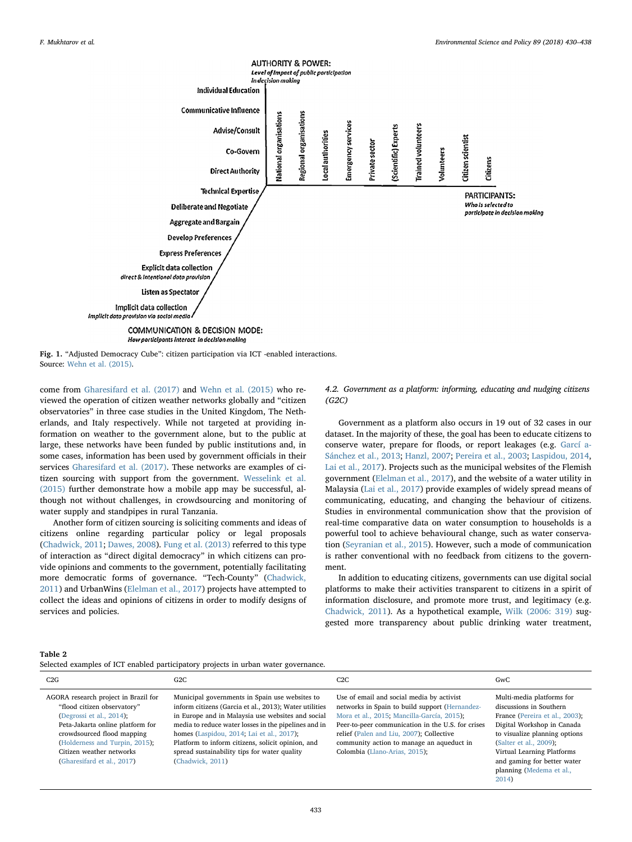<span id="page-3-0"></span>

Source: [Wehn et al. \(2015\)](#page-8-8).

come from [Gharesifard et al. \(2017\)](#page-8-34) and [Wehn et al. \(2015\)](#page-8-8) who reviewed the operation of citizen weather networks globally and "citizen observatories" in three case studies in the United Kingdom, The Netherlands, and Italy respectively. While not targeted at providing information on weather to the government alone, but to the public at large, these networks have been funded by public institutions and, in some cases, information has been used by government officials in their services [Gharesifard et al. \(2017\)](#page-8-34). These networks are examples of citizen sourcing with support from the government. [Wesselink et al.](#page-8-13) [\(2015\)](#page-8-13) further demonstrate how a mobile app may be successful, although not without challenges, in crowdsourcing and monitoring of water supply and standpipes in rural Tanzania.

Another form of citizen sourcing is soliciting comments and ideas of citizens online regarding particular policy or legal proposals ([Chadwick, 2011;](#page-7-7) [Dawes, 2008](#page-7-8)). [Fung et al. \(2013\)](#page-8-3) referred to this type of interaction as "direct digital democracy" in which citizens can provide opinions and comments to the government, potentially facilitating more democratic forms of governance. "Tech-County" ([Chadwick,](#page-7-7) [2011\)](#page-7-7) and UrbanWins [\(Elelman et al., 2017](#page-8-35)) projects have attempted to collect the ideas and opinions of citizens in order to modify designs of services and policies.

#### 4.2. Government as a platform: informing, educating and nudging citizens (G2C)

Government as a platform also occurs in 19 out of 32 cases in our dataset. In the majority of these, the goal has been to educate citizens to conserve water, prepare for floods, or report leakages (e.g. [Garcí a-](#page-8-36)[Sánchez et al., 2013](#page-8-36); [Hanzl, 2007;](#page-8-26) [Pereira et al., 2003;](#page-8-27) [Laspidou, 2014](#page-8-17), [Lai et al., 2017](#page-8-37)). Projects such as the municipal websites of the Flemish government ([Elelman et al., 2017\)](#page-8-35), and the website of a water utility in Malaysia [\(Lai et al., 2017](#page-8-37)) provide examples of widely spread means of communicating, educating, and changing the behaviour of citizens. Studies in environmental communication show that the provision of real-time comparative data on water consumption to households is a powerful tool to achieve behavioural change, such as water conservation ([Seyranian et al., 2015](#page-8-38)). However, such a mode of communication is rather conventional with no feedback from citizens to the government.

In addition to educating citizens, governments can use digital social platforms to make their activities transparent to citizens in a spirit of information disclosure, and promote more trust, and legitimacy (e.g. [Chadwick, 2011](#page-7-7)). As a hypothetical example, [Wilk \(2006: 319\)](#page-8-39) suggested more transparency about public drinking water treatment,

[2014](#page-8-24))

#### <span id="page-3-1"></span>Table 2

|  |  |  |  |  | Selected examples of ICT enabled participatory projects in urban water governance. |
|--|--|--|--|--|------------------------------------------------------------------------------------|
|  |  |  |  |  |                                                                                    |

| C2G                                                                                                                                                                                                                                                              | G2C                                                                                                                                                                                                                                                                                                                                                                                         | C2C                                                                                                                                                                                                                                                                                                                      | GwC                                                                                                                                                                                                                                                                      |
|------------------------------------------------------------------------------------------------------------------------------------------------------------------------------------------------------------------------------------------------------------------|---------------------------------------------------------------------------------------------------------------------------------------------------------------------------------------------------------------------------------------------------------------------------------------------------------------------------------------------------------------------------------------------|--------------------------------------------------------------------------------------------------------------------------------------------------------------------------------------------------------------------------------------------------------------------------------------------------------------------------|--------------------------------------------------------------------------------------------------------------------------------------------------------------------------------------------------------------------------------------------------------------------------|
| AGORA research project in Brazil for<br>"flood citizen observatory"<br>(Degrossi et al., $2014$ );<br>Peta-Jakarta online platform for<br>crowdsourced flood mapping<br>(Holderness and Turpin, 2015);<br>Citizen weather networks<br>(Gharesifard et al., 2017) | Municipal governments in Spain use websites to<br>inform citizens (Garcia et al., 2013); Water utilities<br>in Europe and in Malaysia use websites and social<br>media to reduce water losses in the pipelines and in<br>homes (Laspidou, 2014; Lai et al., 2017);<br>Platform to inform citizens, solicit opinion, and<br>spread sustainability tips for water quality<br>(Chadwick, 2011) | Use of email and social media by activist<br>networks in Spain to build support (Hernandez-<br>Mora et al., 2015; Mancilla-García, 2015);<br>Peer-to-peer communication in the U.S. for crises<br>relief (Palen and Liu, 2007); Collective<br>community action to manage an aqueduct in<br>Colombia (Llano-Arias, 2015); | Multi-media platforms for<br>discussions in Southern<br>France (Pereira et al., 2003);<br>Digital Workshop in Canada<br>to visualize planning options<br>(Salter et al., 2009);<br>Virtual Learning Platforms<br>and gaming for better water<br>planning (Medema et al., |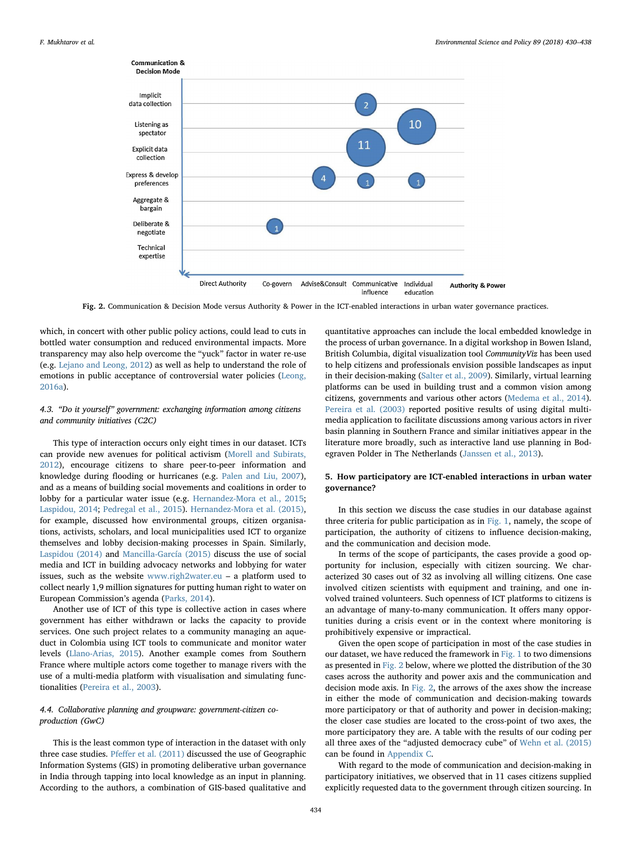<span id="page-4-0"></span>

Fig. 2. Communication & Decision Mode versus Authority & Power in the ICT-enabled interactions in urban water governance practices.

which, in concert with other public policy actions, could lead to cuts in bottled water consumption and reduced environmental impacts. More transparency may also help overcome the "yuck" factor in water re-use (e.g. [Lejano and Leong, 2012\)](#page-8-43) as well as help to understand the role of emotions in public acceptance of controversial water policies [\(Leong,](#page-8-44) [2016a\)](#page-8-44).

# 4.3. "Do it yourself" government: exchanging information among citizens and community initiatives (C2C)

This type of interaction occurs only eight times in our dataset. ICTs can provide new avenues for political activism ([Morell and Subirats,](#page-8-45) [2012\)](#page-8-45), encourage citizens to share peer-to-peer information and knowledge during flooding or hurricanes (e.g. [Palen and Liu, 2007](#page-8-25)), and as a means of building social movements and coalitions in order to lobby for a particular water issue (e.g. [Hernandez-Mora et al., 2015](#page-8-10); [Laspidou, 2014](#page-8-17); [Pedregal et al., 2015\)](#page-8-6). [Hernandez-Mora et al. \(2015\)](#page-8-10), for example, discussed how environmental groups, citizen organisations, activists, scholars, and local municipalities used ICT to organize themselves and lobby decision-making processes in Spain. Similarly, [Laspidou \(2014\)](#page-8-17) and [Mancilla-García \(2015\)](#page-8-40) discuss the use of social media and ICT in building advocacy networks and lobbying for water issues, such as the website [www.righ2water.eu](http://www.righ2water.eu) – a platform used to collect nearly 1,9 million signatures for putting human right to water on European Commission's agenda [\(Parks, 2014](#page-8-46)).

Another use of ICT of this type is collective action in cases where government has either withdrawn or lacks the capacity to provide services. One such project relates to a community managing an aqueduct in Colombia using ICT tools to communicate and monitor water levels [\(Llano-Arias, 2015\)](#page-8-41). Another example comes from Southern France where multiple actors come together to manage rivers with the use of a multi-media platform with visualisation and simulating functionalities [\(Pereira et al., 2003\)](#page-8-27).

# 4.4. Collaborative planning and groupware: government-citizen coproduction (GwC)

This is the least common type of interaction in the dataset with only three case studies. Pfeff[er et al. \(2011\)](#page-8-47) discussed the use of Geographic Information Systems (GIS) in promoting deliberative urban governance in India through tapping into local knowledge as an input in planning. According to the authors, a combination of GIS-based qualitative and quantitative approaches can include the local embedded knowledge in the process of urban governance. In a digital workshop in Bowen Island, British Columbia, digital visualization tool CommunityViz has been used to help citizens and professionals envision possible landscapes as input in their decision-making [\(Salter et al., 2009](#page-8-42)). Similarly, virtual learning platforms can be used in building trust and a common vision among citizens, governments and various other actors ([Medema et al., 2014](#page-8-24)). [Pereira et al. \(2003\)](#page-8-27) reported positive results of using digital multimedia application to facilitate discussions among various actors in river basin planning in Southern France and similar initiatives appear in the literature more broadly, such as interactive land use planning in Bodegraven Polder in The Netherlands [\(Janssen et al., 2013](#page-8-48)).

# 5. How participatory are ICT-enabled interactions in urban water governance?

In this section we discuss the case studies in our database against three criteria for public participation as in [Fig. 1,](#page-3-0) namely, the scope of participation, the authority of citizens to influence decision-making, and the communication and decision mode.

In terms of the scope of participants, the cases provide a good opportunity for inclusion, especially with citizen sourcing. We characterized 30 cases out of 32 as involving all willing citizens. One case involved citizen scientists with equipment and training, and one involved trained volunteers. Such openness of ICT platforms to citizens is an advantage of many-to-many communication. It offers many opportunities during a crisis event or in the context where monitoring is prohibitively expensive or impractical.

Given the open scope of participation in most of the case studies in our dataset, we have reduced the framework in [Fig. 1](#page-3-0) to two dimensions as presented in [Fig. 2](#page-4-0) below, where we plotted the distribution of the 30 cases across the authority and power axis and the communication and decision mode axis. In [Fig. 2](#page-4-0), the arrows of the axes show the increase in either the mode of communication and decision-making towards more participatory or that of authority and power in decision-making; the closer case studies are located to the cross-point of two axes, the more participatory they are. A table with the results of our coding per all three axes of the "adjusted democracy cube" of [Wehn et al. \(2015\)](#page-8-8) can be found in [Appendix C.](#page-7-10)

With regard to the mode of communication and decision-making in participatory initiatives, we observed that in 11 cases citizens supplied explicitly requested data to the government through citizen sourcing. In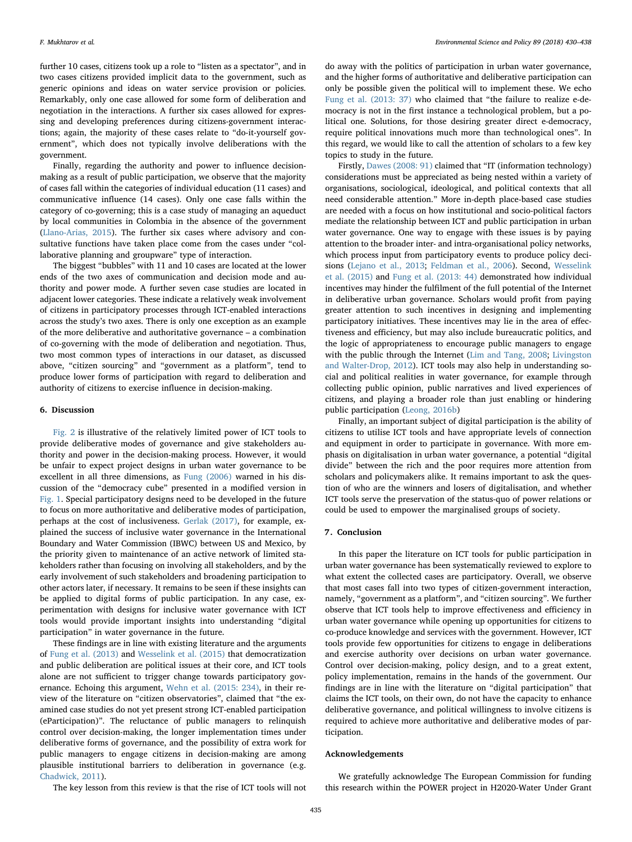further 10 cases, citizens took up a role to "listen as a spectator", and in two cases citizens provided implicit data to the government, such as generic opinions and ideas on water service provision or policies. Remarkably, only one case allowed for some form of deliberation and negotiation in the interactions. A further six cases allowed for expressing and developing preferences during citizens-government interactions; again, the majority of these cases relate to "do-it-yourself government", which does not typically involve deliberations with the government.

Finally, regarding the authority and power to influence decisionmaking as a result of public participation, we observe that the majority of cases fall within the categories of individual education (11 cases) and communicative influence (14 cases). Only one case falls within the category of co-governing; this is a case study of managing an aqueduct by local communities in Colombia in the absence of the government ([Llano-Arias, 2015](#page-8-41)). The further six cases where advisory and consultative functions have taken place come from the cases under "collaborative planning and groupware" type of interaction.

The biggest "bubbles" with 11 and 10 cases are located at the lower ends of the two axes of communication and decision mode and authority and power mode. A further seven case studies are located in adjacent lower categories. These indicate a relatively weak involvement of citizens in participatory processes through ICT-enabled interactions across the study's two axes. There is only one exception as an example of the more deliberative and authoritative governance – a combination of co-governing with the mode of deliberation and negotiation. Thus, two most common types of interactions in our dataset, as discussed above, "citizen sourcing" and "government as a platform", tend to produce lower forms of participation with regard to deliberation and authority of citizens to exercise influence in decision-making.

## 6. Discussion

[Fig. 2](#page-4-0) is illustrative of the relatively limited power of ICT tools to provide deliberative modes of governance and give stakeholders authority and power in the decision-making process. However, it would be unfair to expect project designs in urban water governance to be excellent in all three dimensions, as [Fung \(2006\)](#page-8-18) warned in his discussion of the "democracy cube" presented in a modified version in [Fig. 1.](#page-3-0) Special participatory designs need to be developed in the future to focus on more authoritative and deliberative modes of participation, perhaps at the cost of inclusiveness. [Gerlak \(2017\),](#page-8-49) for example, explained the success of inclusive water governance in the International Boundary and Water Commission (IBWC) between US and Mexico, by the priority given to maintenance of an active network of limited stakeholders rather than focusing on involving all stakeholders, and by the early involvement of such stakeholders and broadening participation to other actors later, if necessary. It remains to be seen if these insights can be applied to digital forms of public participation. In any case, experimentation with designs for inclusive water governance with ICT tools would provide important insights into understanding "digital participation" in water governance in the future.

These findings are in line with existing literature and the arguments of [Fung et al. \(2013\)](#page-8-3) and [Wesselink et al. \(2015\)](#page-8-13) that democratization and public deliberation are political issues at their core, and ICT tools alone are not sufficient to trigger change towards participatory governance. Echoing this argument, [Wehn et al. \(2015: 234\)](#page-8-8), in their review of the literature on "citizen observatories", claimed that "the examined case studies do not yet present strong ICT-enabled participation (eParticipation)". The reluctance of public managers to relinquish control over decision-making, the longer implementation times under deliberative forms of governance, and the possibility of extra work for public managers to engage citizens in decision-making are among plausible institutional barriers to deliberation in governance (e.g. [Chadwick, 2011](#page-7-7)).

The key lesson from this review is that the rise of ICT tools will not

do away with the politics of participation in urban water governance, and the higher forms of authoritative and deliberative participation can only be possible given the political will to implement these. We echo [Fung et al. \(2013: 37\)](#page-8-3) who claimed that "the failure to realize e-democracy is not in the first instance a technological problem, but a political one. Solutions, for those desiring greater direct e-democracy, require political innovations much more than technological ones". In this regard, we would like to call the attention of scholars to a few key topics to study in the future.

Firstly, [Dawes \(2008: 91\)](#page-7-8) claimed that "IT (information technology) considerations must be appreciated as being nested within a variety of organisations, sociological, ideological, and political contexts that all need considerable attention." More in-depth place-based case studies are needed with a focus on how institutional and socio-political factors mediate the relationship between ICT and public participation in urban water governance. One way to engage with these issues is by paying attention to the broader inter- and intra-organisational policy networks, which process input from participatory events to produce policy decisions ([Lejano et al., 2013](#page-8-50); [Feldman et al., 2006\)](#page-8-14). Second, [Wesselink](#page-8-13) [et al. \(2015\)](#page-8-13) and [Fung et al. \(2013: 44\)](#page-8-3) demonstrated how individual incentives may hinder the fulfilment of the full potential of the Internet in deliberative urban governance. Scholars would profit from paying greater attention to such incentives in designing and implementing participatory initiatives. These incentives may lie in the area of effectiveness and efficiency, but may also include bureaucratic politics, and the logic of appropriateness to encourage public managers to engage with the public through the Internet [\(Lim and Tang, 2008;](#page-8-51) [Livingston](#page-8-52) [and Walter-Drop, 2012\)](#page-8-52). ICT tools may also help in understanding social and political realities in water governance, for example through collecting public opinion, public narratives and lived experiences of citizens, and playing a broader role than just enabling or hindering public participation [\(Leong, 2016b\)](#page-8-53)

Finally, an important subject of digital participation is the ability of citizens to utilise ICT tools and have appropriate levels of connection and equipment in order to participate in governance. With more emphasis on digitalisation in urban water governance, a potential "digital divide" between the rich and the poor requires more attention from scholars and policymakers alike. It remains important to ask the question of who are the winners and losers of digitalisation, and whether ICT tools serve the preservation of the status-quo of power relations or could be used to empower the marginalised groups of society.

#### 7. Conclusion

In this paper the literature on ICT tools for public participation in urban water governance has been systematically reviewed to explore to what extent the collected cases are participatory. Overall, we observe that most cases fall into two types of citizen-government interaction, namely, "government as a platform", and "citizen sourcing". We further observe that ICT tools help to improve effectiveness and efficiency in urban water governance while opening up opportunities for citizens to co-produce knowledge and services with the government. However, ICT tools provide few opportunities for citizens to engage in deliberations and exercise authority over decisions on urban water governance. Control over decision-making, policy design, and to a great extent, policy implementation, remains in the hands of the government. Our findings are in line with the literature on "digital participation" that claims the ICT tools, on their own, do not have the capacity to enhance deliberative governance, and political willingness to involve citizens is required to achieve more authoritative and deliberative modes of participation.

#### Acknowledgements

We gratefully acknowledge The European Commission for funding this research within the POWER project in H2020-Water Under Grant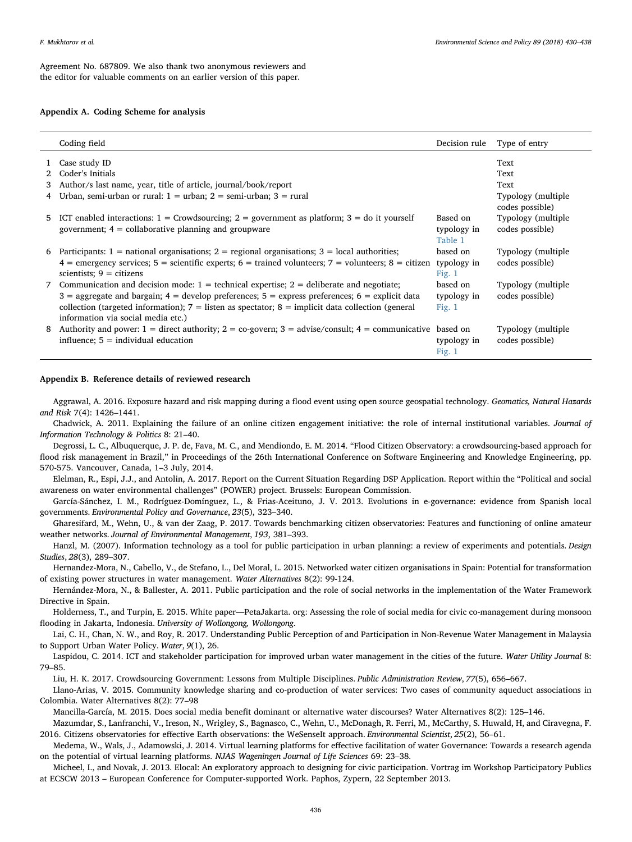Agreement No. 687809. We also thank two anonymous reviewers and the editor for valuable comments on an earlier version of this paper.

#### Appendix A. Coding Scheme for analysis

|   | Coding field                                                                                                                                                                                                                                                                                                                                           | Decision rule                       | Type of entry                          |
|---|--------------------------------------------------------------------------------------------------------------------------------------------------------------------------------------------------------------------------------------------------------------------------------------------------------------------------------------------------------|-------------------------------------|----------------------------------------|
|   | 1 Case study ID                                                                                                                                                                                                                                                                                                                                        |                                     | Text                                   |
|   | 2 Coder's Initials<br>3 Author/s last name, year, title of article, journal/book/report                                                                                                                                                                                                                                                                |                                     | Text<br>Text                           |
|   | 4 Urban, semi-urban or rural: $1 =$ urban; $2 =$ semi-urban; $3 =$ rural                                                                                                                                                                                                                                                                               |                                     | Typology (multiple)<br>codes possible) |
|   | 5 ICT enabled interactions: $1 =$ Crowdsourcing; $2 =$ government as platform; $3 =$ do it yourself<br>government; $4 =$ collaborative planning and groupware                                                                                                                                                                                          | Based on<br>typology in<br>Table 1  | Typology (multiple)<br>codes possible) |
| 6 | Participants: $1 =$ national organisations; $2 =$ regional organisations; $3 =$ local authorities;<br>$4$ = emergency services; 5 = scientific experts; 6 = trained volunteers; 7 = volunteers; 8 = citizen<br>scientists; $9 =$ citizens                                                                                                              | based on<br>typology in<br>Fig. $1$ | Typology (multiple)<br>codes possible) |
|   | 7 Communication and decision mode: $1 =$ technical expertise; $2 =$ deliberate and negotiate;<br>$3$ = aggregate and bargain; $4$ = develop preferences; $5$ = express preferences; $6$ = explicit data<br>collection (targeted information); $7 =$ listen as spectator; $8 =$ implicit data collection (general<br>information via social media etc.) | based on<br>typology in<br>Fig. $1$ | Typology (multiple)<br>codes possible) |
| 8 | Authority and power: $1 =$ direct authority; $2 =$ co-govern; $3 =$ advise/consult; $4 =$ communicative based on<br>influence; $5 =$ individual education                                                                                                                                                                                              | typology in<br>Fig. $1$             | Typology (multiple)<br>codes possible) |

#### <span id="page-6-0"></span>Appendix B. Reference details of reviewed research

Aggrawal, A. 2016. Exposure hazard and risk mapping during a flood event using open source geospatial technology. Geomatics, Natural Hazards and Risk 7(4): 1426–1441.

Chadwick, A. 2011. Explaining the failure of an online citizen engagement initiative: the role of internal institutional variables. Journal of Information Technology & Politics 8: 21–40.

Degrossi, L. C., Albuquerque, J. P. de, Fava, M. C., and Mendiondo, E. M. 2014. "Flood Citizen Observatory: a crowdsourcing-based approach for flood risk management in Brazil," in Proceedings of the 26th International Conference on Software Engineering and Knowledge Engineering, pp. 570-575. Vancouver, Canada, 1–3 July, 2014.

Elelman, R., Espi, J.J., and Antolin, A. 2017. Report on the Current Situation Regarding DSP Application. Report within the "Political and social awareness on water environmental challenges" (POWER) project. Brussels: European Commission.

García‐Sánchez, I. M., Rodríguez‐Domínguez, L., & Frias‐Aceituno, J. V. 2013. Evolutions in e‐governance: evidence from Spanish local governments. Environmental Policy and Governance, 23(5), 323–340.

Gharesifard, M., Wehn, U., & van der Zaag, P. 2017. Towards benchmarking citizen observatories: Features and functioning of online amateur weather networks. Journal of Environmental Management, 193, 381–393.

Hanzl, M. (2007). Information technology as a tool for public participation in urban planning: a review of experiments and potentials. Design Studies, 28(3), 289–307.

Hernandez-Mora, N., Cabello, V., de Stefano, L., Del Moral, L. 2015. Networked water citizen organisations in Spain: Potential for transformation of existing power structures in water management. Water Alternatives 8(2): 99-124.

Hernández-Mora, N., & Ballester, A. 2011. Public participation and the role of social networks in the implementation of the Water Framework Directive in Spain.

Holderness, T., and Turpin, E. 2015. White paper—PetaJakarta. org: Assessing the role of social media for civic co-management during monsoon flooding in Jakarta, Indonesia. University of Wollongong, Wollongong.

Lai, C. H., Chan, N. W., and Roy, R. 2017. Understanding Public Perception of and Participation in Non-Revenue Water Management in Malaysia to Support Urban Water Policy. Water, 9(1), 26.

Laspidou, C. 2014. ICT and stakeholder participation for improved urban water management in the cities of the future. Water Utility Journal 8: 79–85.

Liu, H. K. 2017. Crowdsourcing Government: Lessons from Multiple Disciplines. Public Administration Review, 77(5), 656–667.

Llano-Arias, V. 2015. Community knowledge sharing and co-production of water services: Two cases of community aqueduct associations in Colombia. Water Alternatives 8(2): 77–98

Mancilla-García, M. 2015. Does social media benefit dominant or alternative water discourses? Water Alternatives 8(2): 125–146.

Mazumdar, S., Lanfranchi, V., Ireson, N., Wrigley, S., Bagnasco, C., Wehn, U., McDonagh, R. Ferri, M., McCarthy, S. Huwald, H, and Ciravegna, F. 2016. Citizens observatories for effective Earth observations: the WeSenseIt approach. Environmental Scientist, 25(2), 56–61.

Medema, W., Wals, J., Adamowski, J. 2014. Virtual learning platforms for effective facilitation of water Governance: Towards a research agenda on the potential of virtual learning platforms. NJAS Wageningen Journal of Life Sciences 69: 23–38.

Micheel, I., and Novak, J. 2013. Elocal: An exploratory approach to designing for civic participation. Vortrag im Workshop Participatory Publics at ECSCW 2013 – European Conference for Computer-supported Work. Paphos, Zypern, 22 September 2013.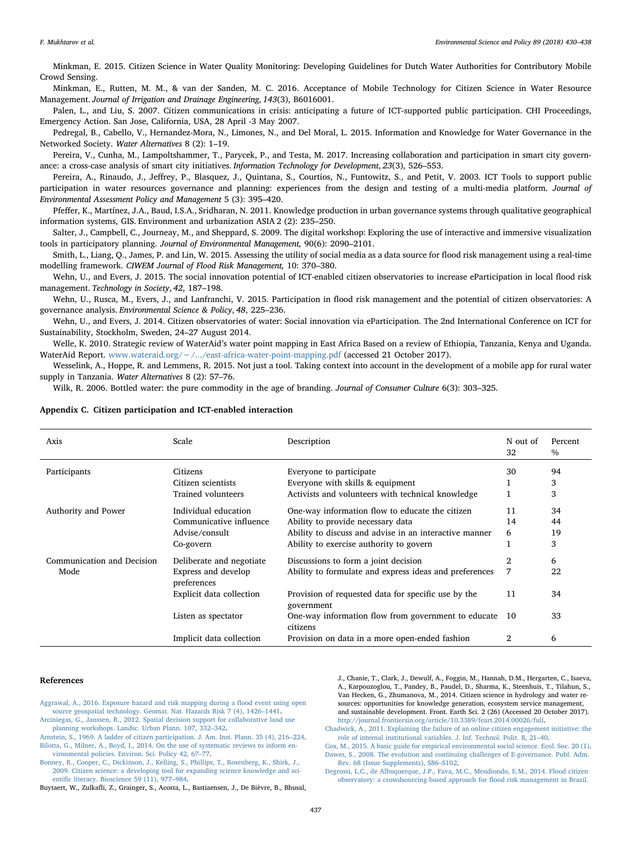Minkman, E. 2015. Citizen Science in Water Quality Monitoring: Developing Guidelines for Dutch Water Authorities for Contributory Mobile Crowd Sensing.

Minkman, E., Rutten, M. M., & van der Sanden, M. C. 2016. Acceptance of Mobile Technology for Citizen Science in Water Resource Management. Journal of Irrigation and Drainage Engineering, 143(3), B6016001.

Palen, L., and Liu, S. 2007. Citizen communications in crisis: anticipating a future of ICT-supported public participation. CHI Proceedings, Emergency Action. San Jose, California, USA, 28 April -3 May 2007.

Pedregal, B., Cabello, V., Hernandez-Mora, N., Limones, N., and Del Moral, L. 2015. Information and Knowledge for Water Governance in the Networked Society. Water Alternatives 8 (2): 1–19.

Pereira, V., Cunha, M., Lampoltshammer, T., Parycek, P., and Testa, M. 2017. Increasing collaboration and participation in smart city governance: a cross-case analysis of smart city initiatives. Information Technology for Development, 23(3), 526–553.

Pereira, A., Rinaudo, J., Jeffrey, P., Blasquez, J., Quintana, S., Courtios, N., Funtowitz, S., and Petit, V. 2003. ICT Tools to support public participation in water resources governance and planning: experiences from the design and testing of a multi-media platform. Journal of Environmental Assessment Policy and Management 5 (3): 395–420.

Pfeffer, K., Martínez, J.A., Baud, I.S.A., Sridharan, N. 2011. Knowledge production in urban governance systems through qualitative geographical information systems, GIS. Environment and urbanization ASIA 2 (2): 235–250.

Salter, J., Campbell, C., Journeay, M., and Sheppard, S. 2009. The digital workshop: Exploring the use of interactive and immersive visualization tools in participatory planning. Journal of Environmental Management, 90(6): 2090–2101.

Smith, L., Liang, Q., James, P. and Lin, W. 2015. Assessing the utility of social media as a data source for flood risk management using a real-time modelling framework. CIWEM Journal of Flood Risk Management, 10: 370–380.

Wehn, U., and Evers, J. 2015. The social innovation potential of ICT-enabled citizen observatories to increase eParticipation in local flood risk management. Technology in Society, 42, 187–198.

Wehn, U., Rusca, M., Evers, J., and Lanfranchi, V. 2015. Participation in flood risk management and the potential of citizen observatories: A governance analysis. Environmental Science & Policy, 48, 225–236.

Wehn, U., and Evers, J. 2014. Citizen observatories of water: Social innovation via eParticipation. The 2nd International Conference on ICT for Sustainability, Stockholm, Sweden, 24–27 August 2014.

Welle, K. 2010. Strategic review of WaterAid's water point mapping in East Africa Based on a review of Ethiopia, Tanzania, Kenya and Uganda. WaterAid Report. www.wateraid.org/∼[/.../east-africa-water-point-mapping.pdf](http://www.wateraid.org/~/.../east-africa-water-point-mapping.pdf) (accessed 21 October 2017).

Wesselink, A., Hoppe, R. and Lemmens, R. 2015. Not just a tool. Taking context into account in the development of a mobile app for rural water supply in Tanzania. Water Alternatives 8 (2): 57–76.

Wilk, R. 2006. Bottled water: the pure commodity in the age of branding. Journal of Consumer Culture 6(3): 303-325.

#### <span id="page-7-10"></span>Appendix C. Citizen participation and ICT-enabled interaction

| Axis                       | Scale                              | Description                                                       | N out of<br>32 | Percent<br>$\%$ |
|----------------------------|------------------------------------|-------------------------------------------------------------------|----------------|-----------------|
| Participants               | Citizens                           | Everyone to participate                                           | 30             | 94              |
|                            | Citizen scientists                 | Everyone with skills & equipment                                  |                | 3               |
|                            | Trained volunteers                 | Activists and volunteers with technical knowledge                 |                | 3               |
| Authority and Power        | Individual education               | One-way information flow to educate the citizen                   | 11             | 34              |
|                            | Communicative influence            | Ability to provide necessary data                                 | 14             | 44              |
|                            | Advise/consult                     | Ability to discuss and advise in an interactive manner            | 6              | 19              |
|                            | Co-govern                          | Ability to exercise authority to govern                           |                | 3               |
| Communication and Decision | Deliberate and negotiate           | Discussions to form a joint decision                              | 2              | 6               |
| Mode                       | Express and develop<br>preferences | Ability to formulate and express ideas and preferences            | 7              | 22              |
|                            | <b>Explicit data collection</b>    | Provision of requested data for specific use by the<br>government | 11             | 34              |
|                            | Listen as spectator                | One-way information flow from government to educate<br>citizens   | 10             | 33              |
|                            | Implicit data collection           | Provision on data in a more open-ended fashion                    | 2              | 6               |

#### References

<span id="page-7-6"></span>[Aggrawal, A., 2016. Exposure hazard and risk mapping during a](http://refhub.elsevier.com/S1462-9011(18)30368-X/sbref0005) flood event using open [source geospatial technology. Geomat. Nat. Hazards Risk 7 \(4\), 1426](http://refhub.elsevier.com/S1462-9011(18)30368-X/sbref0005)–1441.

<span id="page-7-3"></span>[Arciniegas, G., Janssen, R., 2012. Spatial decision support for collaborative land use](http://refhub.elsevier.com/S1462-9011(18)30368-X/sbref0010) [planning workshops. Landsc. Urban Plann. 107, 332](http://refhub.elsevier.com/S1462-9011(18)30368-X/sbref0010)–342.

<span id="page-7-4"></span><span id="page-7-2"></span>[Arnstein, S., 1969. A ladder of citizen participation. J. Am. Inst. Plann. 35 \(4\), 216](http://refhub.elsevier.com/S1462-9011(18)30368-X/sbref0015)–224. [Bilotta, G., Milner, A., Boyd, I., 2014. On the use of systematic reviews to inform en](http://refhub.elsevier.com/S1462-9011(18)30368-X/sbref0020)[vironmental policies. Environ. Sci. Policy 42, 67](http://refhub.elsevier.com/S1462-9011(18)30368-X/sbref0020)–77.

<span id="page-7-0"></span>[Bonney, R., Cooper, C., Dickinson, J., Kelling, S., Phillips, T., Rosenberg, K., Shirk, J.,](http://refhub.elsevier.com/S1462-9011(18)30368-X/sbref0025) [2009. Citizen science: a developing tool for expanding science knowledge and sci](http://refhub.elsevier.com/S1462-9011(18)30368-X/sbref0025)entifi[c literacy. Bioscience 59 \(11\), 977](http://refhub.elsevier.com/S1462-9011(18)30368-X/sbref0025)–984.

<span id="page-7-1"></span>Buytaert, W., Zulkafli, Z., Grainger, S., Acosta, L., Bastiaensen, J., De Bièvre, B., Bhusal,

J., Chanie, T., Clark, J., Dewulf, A., Foggin, M., Hannah, D.M., Hergarten, C., Isaeva, A., Karpouzoglou, T., Pandey, B., Paudel, D., Sharma, K., Steenhuis, T., Tilahun, S., Van Hecken, G., Zhumanova, M., 2014. Citizen science in hydrology and water resources: opportunities for knowledge generation, ecosystem service management, and sustainable development. Front. Earth Sci. 2 (26) (Accessed 20 October 2017). [http://journal.frontiersin.org/article/10.3389/feart.2014.00026/full.](http://journal.frontiersin.org/article/10.3389/feart.2014.00026/full)

<span id="page-7-7"></span>[Chadwick, A., 2011. Explaining the failure of an online citizen engagement initiative: the](http://refhub.elsevier.com/S1462-9011(18)30368-X/sbref0035) [role of internal institutional variables. J. Inf. Technol. Polit. 8, 21](http://refhub.elsevier.com/S1462-9011(18)30368-X/sbref0035)–40.

<span id="page-7-8"></span><span id="page-7-5"></span>[Cox, M., 2015. A basic guide for empirical environmental social science. Ecol. Soc. 20 \(1\).](http://refhub.elsevier.com/S1462-9011(18)30368-X/sbref0040) [Dawes, S., 2008. The evolution and continuing challenges of E-governance. Publ. Adm.](http://refhub.elsevier.com/S1462-9011(18)30368-X/sbref0045) [Rev. 68 \(Issue Supplements\), S86](http://refhub.elsevier.com/S1462-9011(18)30368-X/sbref0045)–S102.

<span id="page-7-9"></span>[Degrossi, L.C., de Albuquerque, J.P., Fava, M.C., Mendiondo, E.M., 2014. Flood citizen](http://refhub.elsevier.com/S1462-9011(18)30368-X/sbref0050) [observatory: a crowdsourcing-based approach for](http://refhub.elsevier.com/S1462-9011(18)30368-X/sbref0050) flood risk management in Brazil.